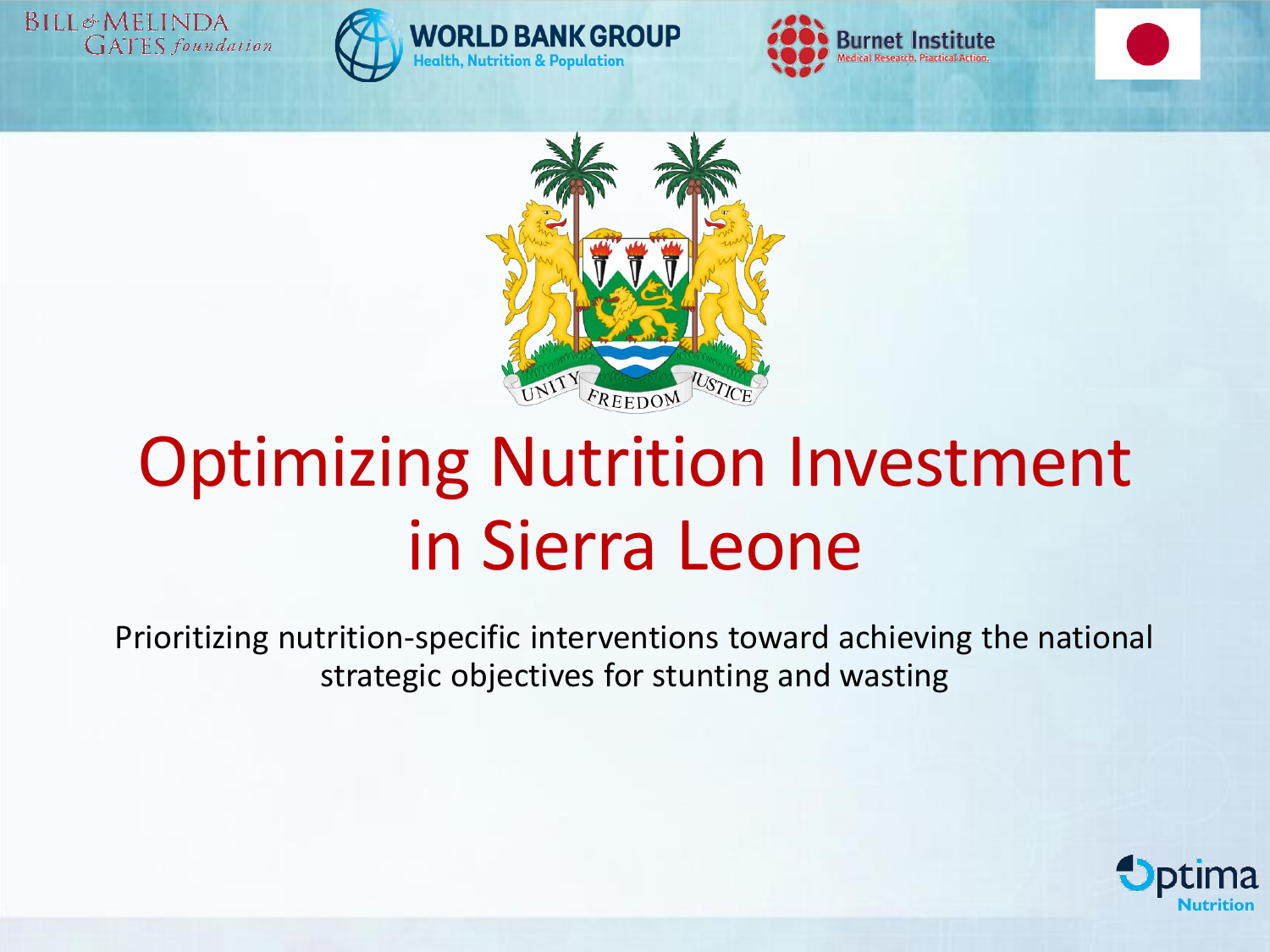BILL&MELINDA **GATES** foundation







ealth, Nutrition & Population

## Optimizing Nutrition Investment in Sierra Leone

Prioritizing nutrition-specific interventions toward achieving the national strategic objectives for stunting and wasting

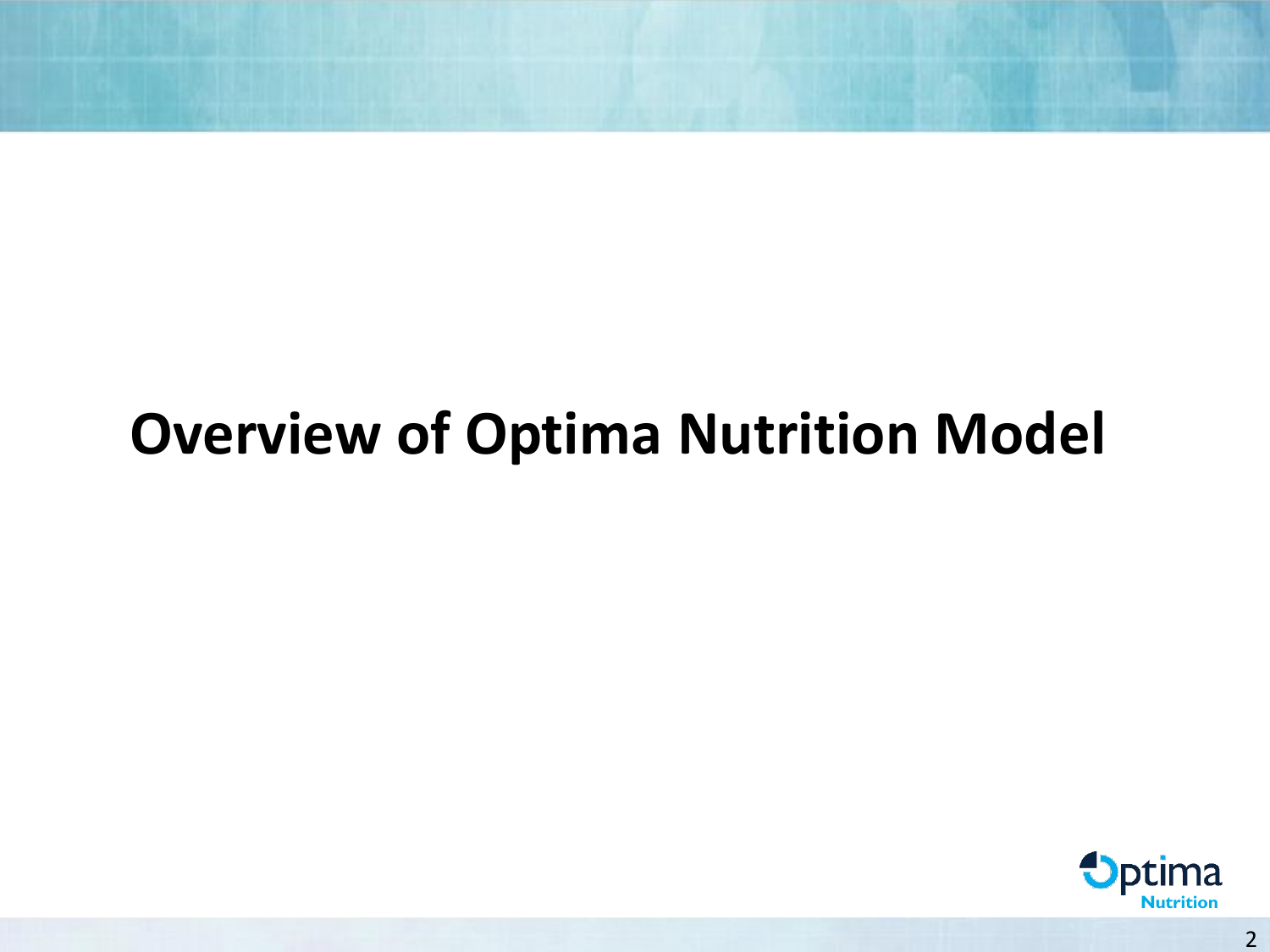## **Overview of Optima Nutrition Model**

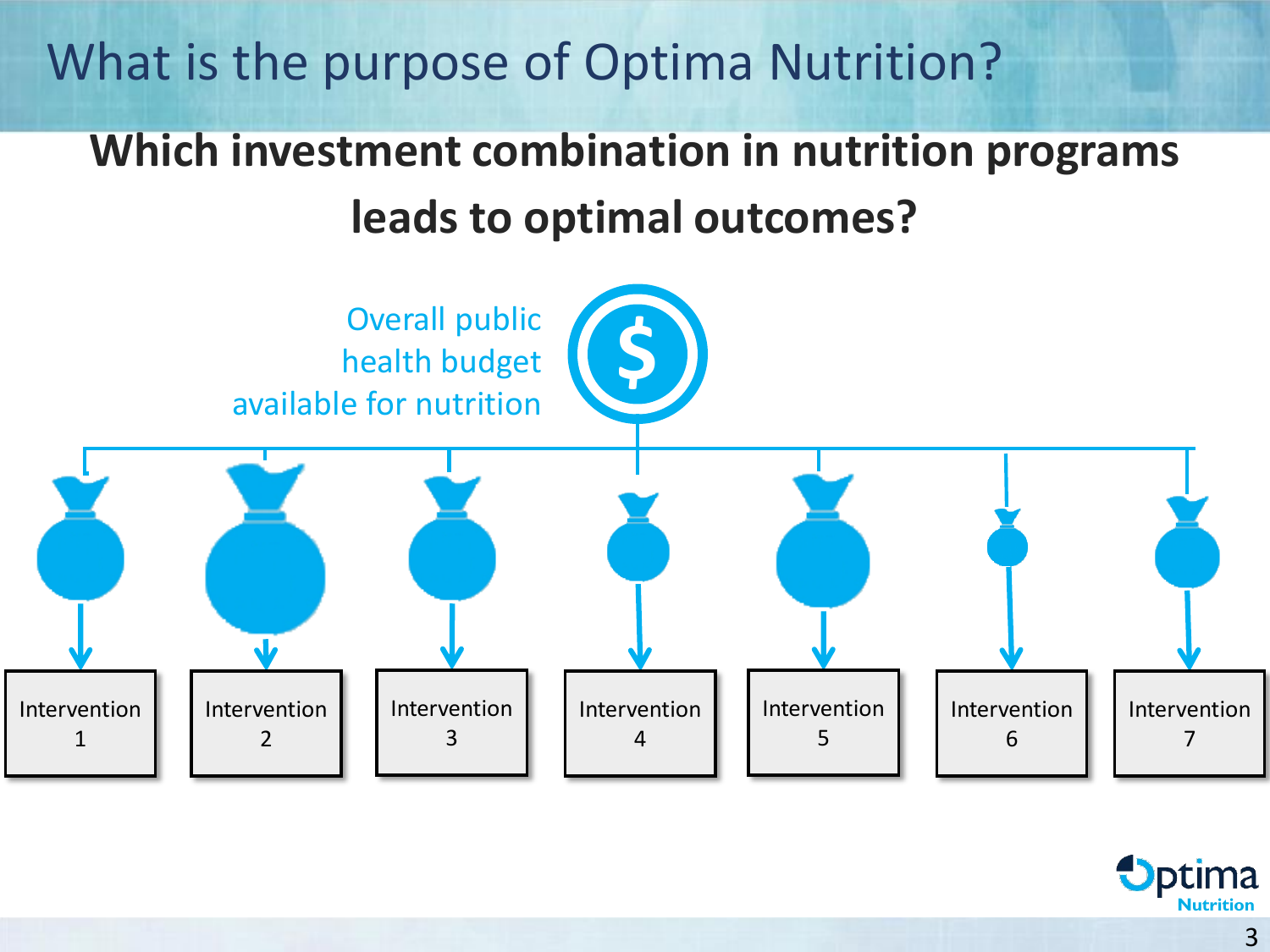What is the purpose of Optima Nutrition?

### **Which investment combination in nutrition programs leads to optimal outcomes?**



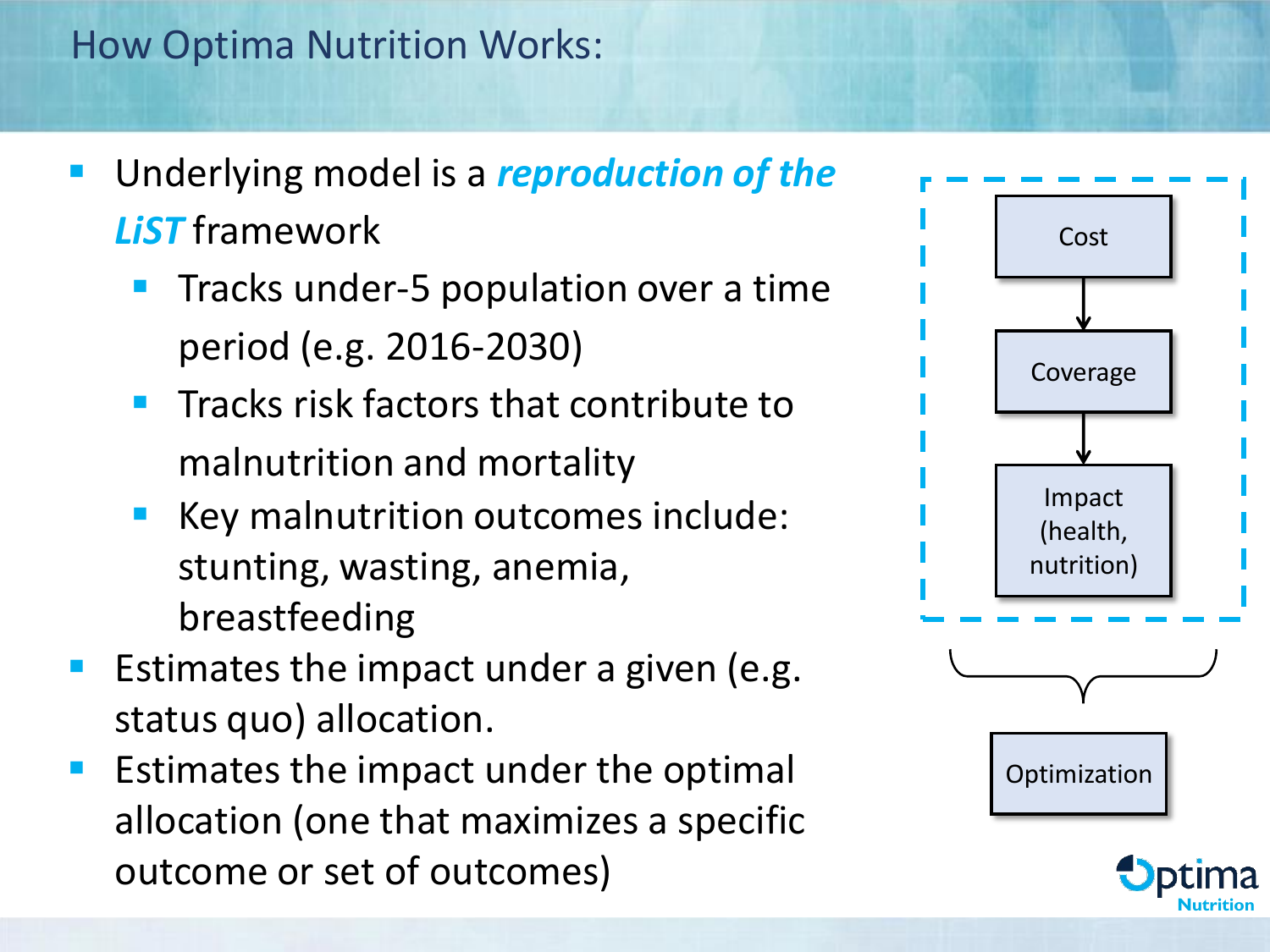#### How Optima Nutrition Works:

- Underlying model is a *reproduction of the LiST* framework
	- Tracks under-5 population over a time period (e.g. 2016-2030)
	- **E** Tracks risk factors that contribute to malnutrition and mortality
	- Key malnutrition outcomes include: stunting, wasting, anemia, breastfeeding
- Estimates the impact under a given (e.g. status quo) allocation.
- Estimates the impact under the optimal allocation (one that maximizes a specific outcome or set of outcomes)



**Nutrition**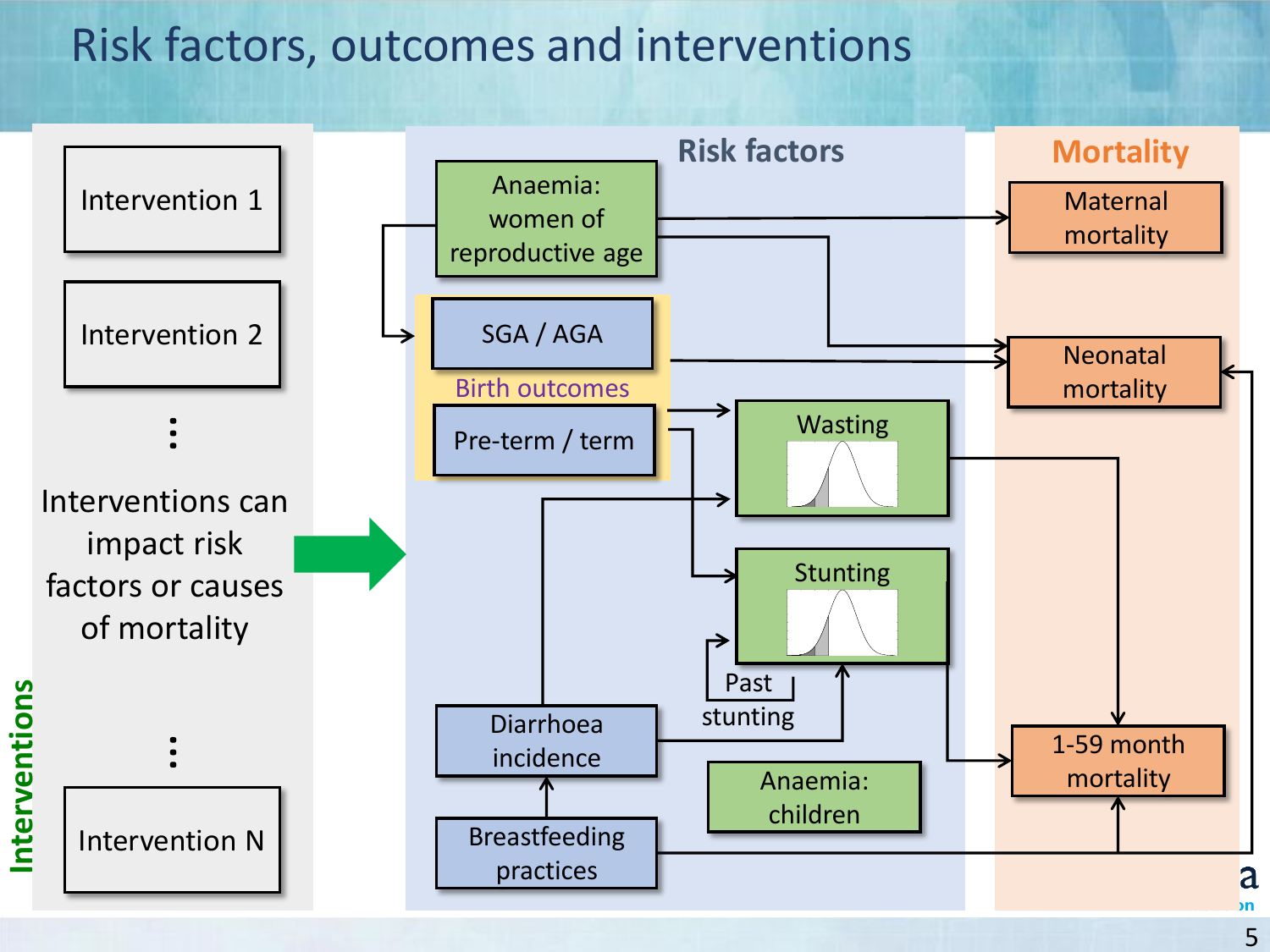#### Risk factors, outcomes and interventions



5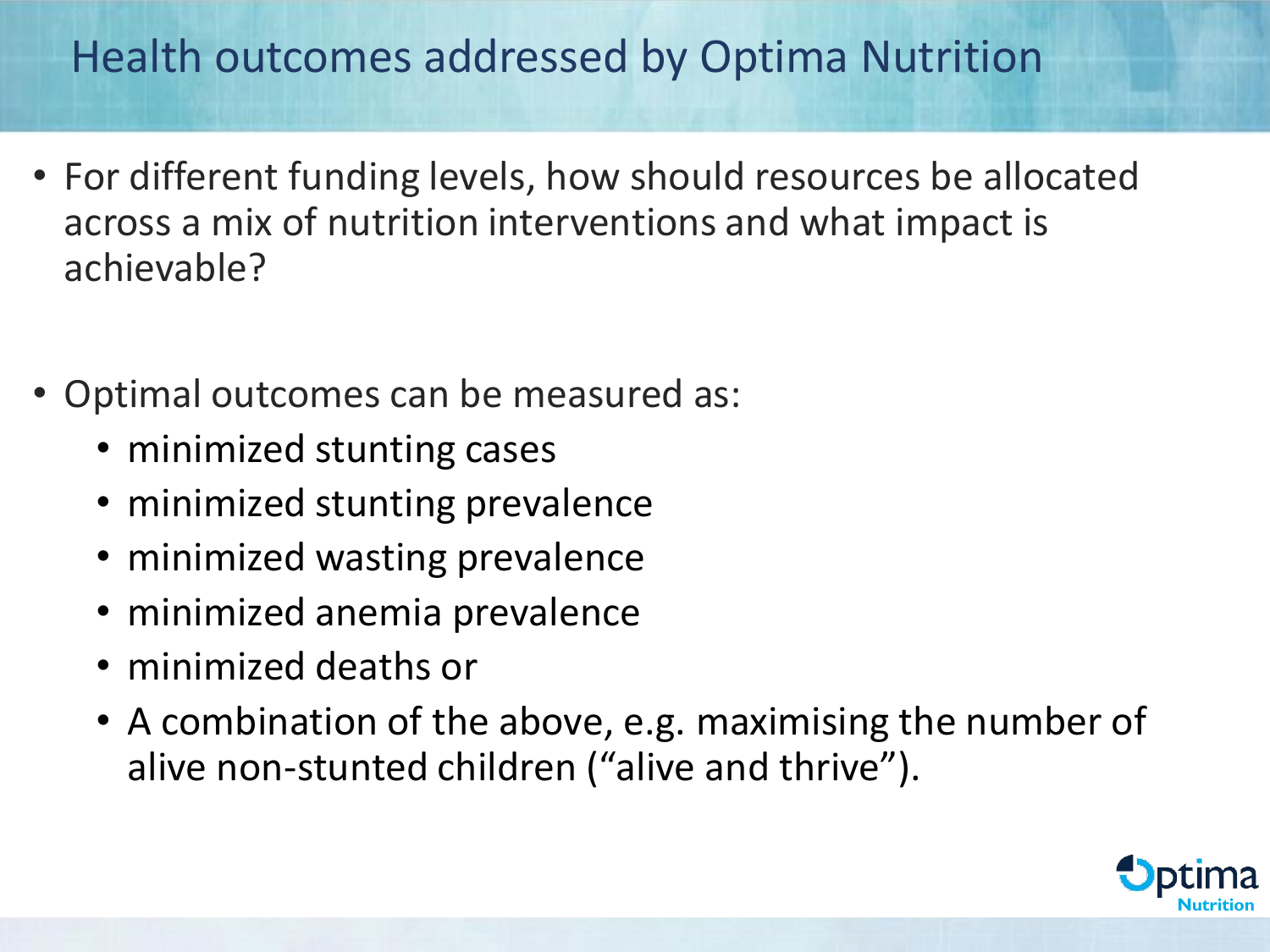#### Health outcomes addressed by Optima Nutrition

- For different funding levels, how should resources be allocated across a mix of nutrition interventions and what impact is achievable?
- Optimal outcomes can be measured as:
	- minimized stunting cases
	- minimized stunting prevalence
	- minimized wasting prevalence
	- minimized anemia prevalence
	- minimized deaths or
	- A combination of the above, e.g. maximising the number of alive non-stunted children ("alive and thrive").

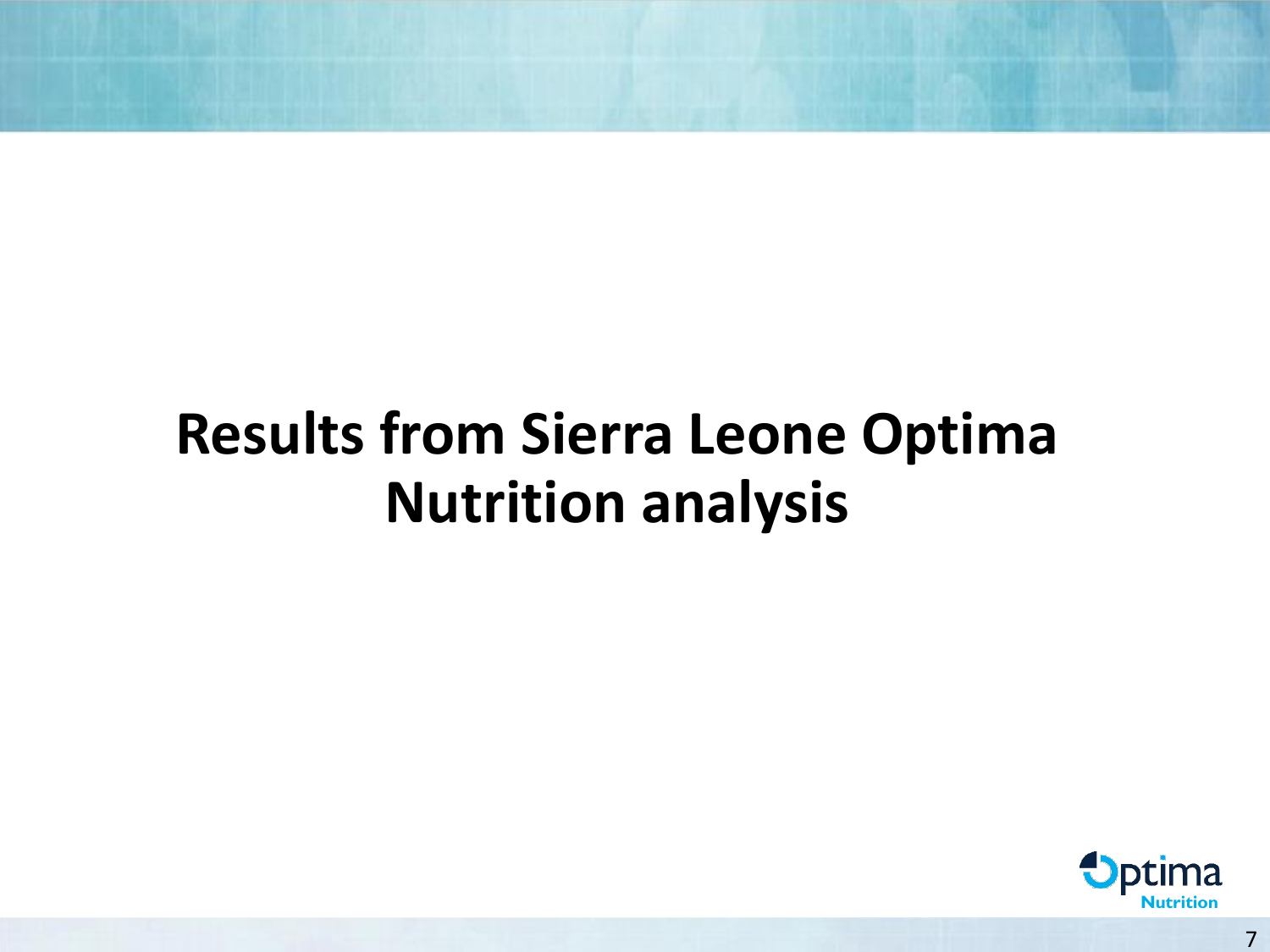## **Results from Sierra Leone Optima Nutrition analysis**

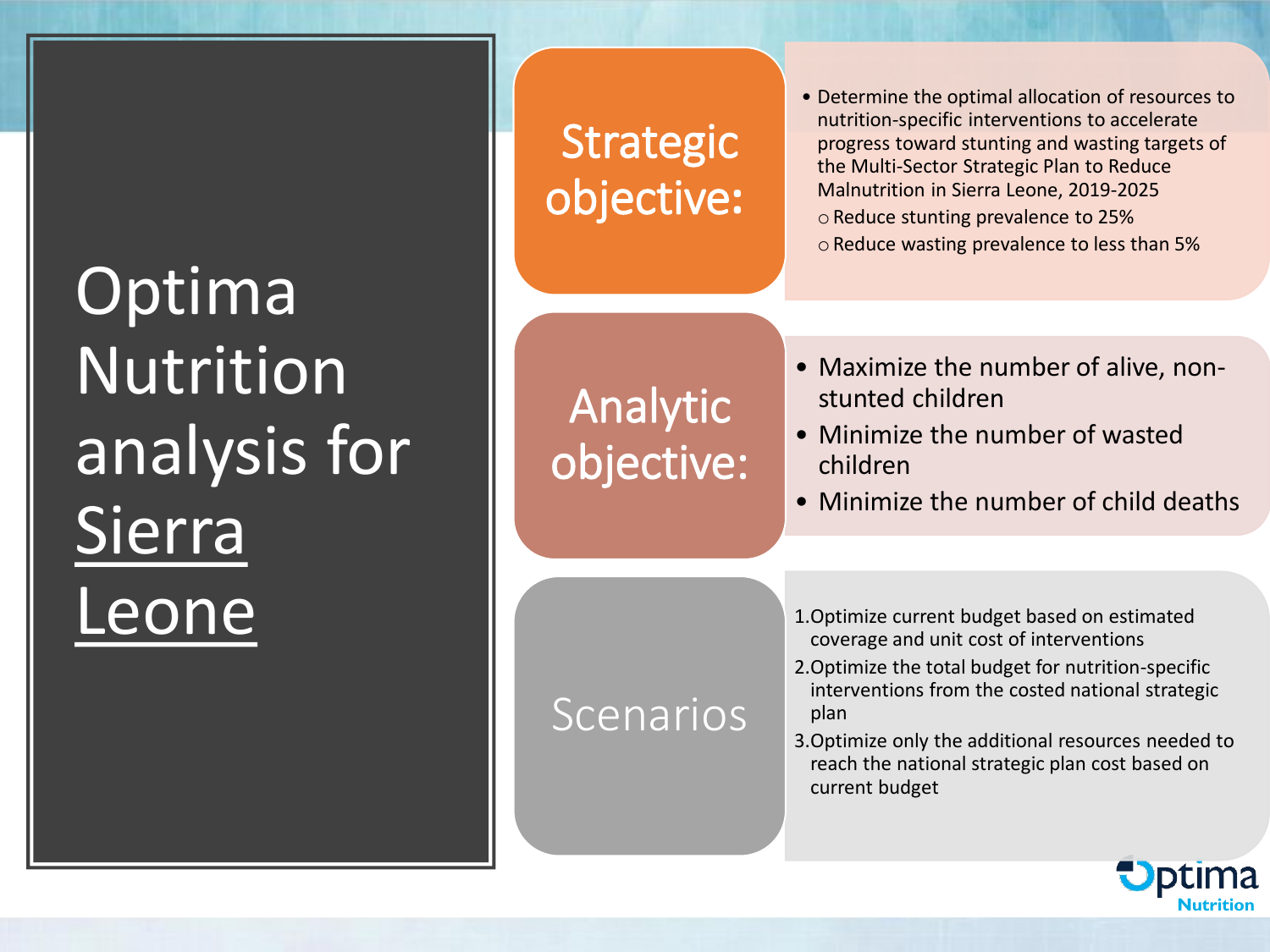## **Optima** Nutrition analysis for Sierra Leone

### **Strategic** objective**:**

- Determine the optimal allocation of resources to nutrition-specific interventions to accelerate progress toward stunting and wasting targets of the Multi-Sector Strategic Plan to Reduce Malnutrition in Sierra Leone, 2019-2025 oReduce stunting prevalence to 25%
	- oReduce wasting prevalence to less than 5%

Analytic objective:

Scenarios

- Maximize the number of alive, nonstunted children
- Minimize the number of wasted children
- Minimize the number of child deaths

1.Optimize current budget based on estimated coverage and unit cost of interventions

- 2.Optimize the total budget for nutrition-specific interventions from the costed national strategic plan
- 3.Optimize only the additional resources needed to reach the national strategic plan cost based on current budget

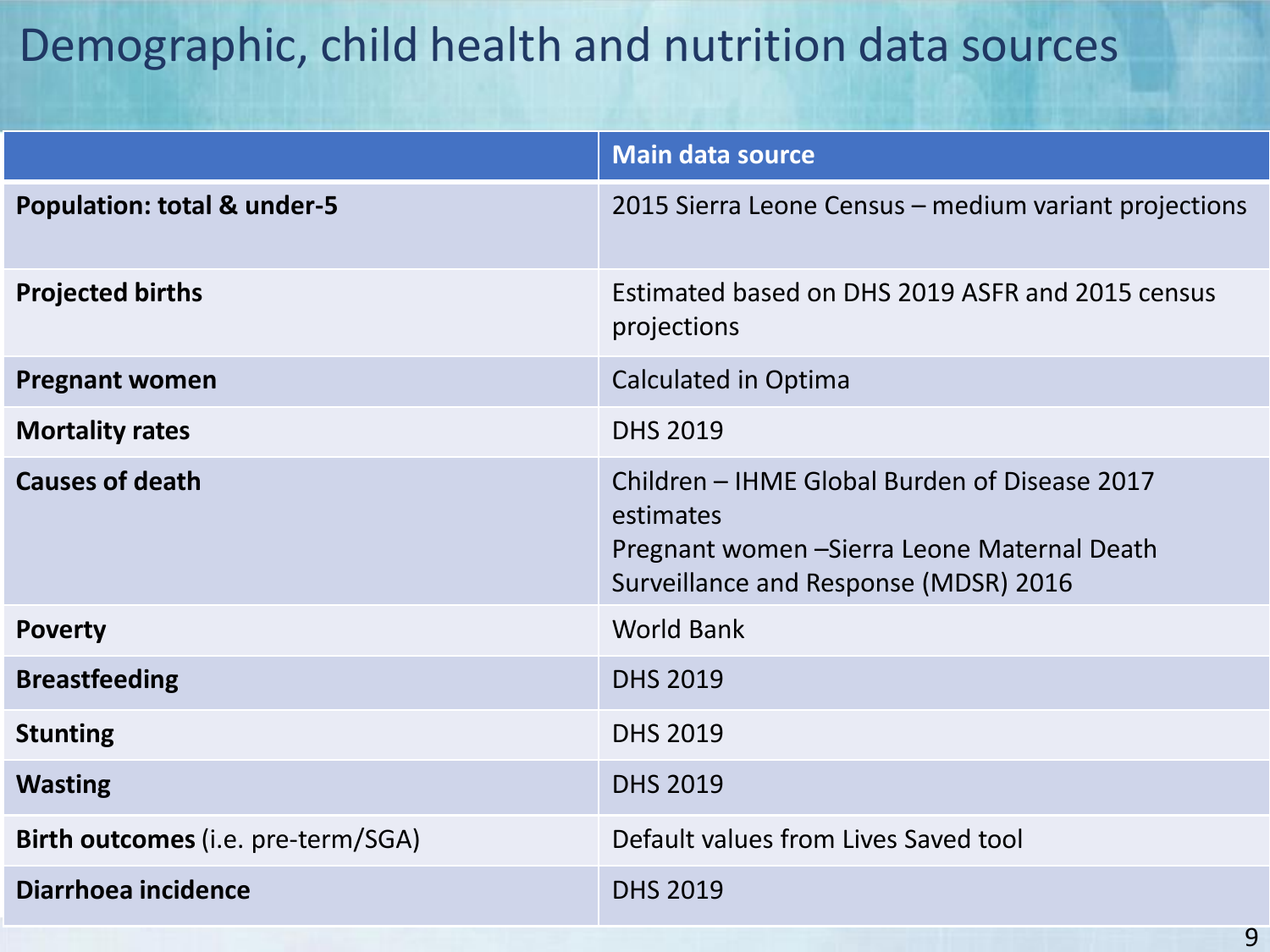#### Demographic, child health and nutrition data sources

|                                           | <b>Main data source</b>                                                                                                                             |
|-------------------------------------------|-----------------------------------------------------------------------------------------------------------------------------------------------------|
| <b>Population: total &amp; under-5</b>    | 2015 Sierra Leone Census – medium variant projections                                                                                               |
| <b>Projected births</b>                   | Estimated based on DHS 2019 ASFR and 2015 census<br>projections                                                                                     |
| <b>Pregnant women</b>                     | Calculated in Optima                                                                                                                                |
| <b>Mortality rates</b>                    | <b>DHS 2019</b>                                                                                                                                     |
| <b>Causes of death</b>                    | Children - IHME Global Burden of Disease 2017<br>estimates<br>Pregnant women - Sierra Leone Maternal Death<br>Surveillance and Response (MDSR) 2016 |
| <b>Poverty</b>                            | <b>World Bank</b>                                                                                                                                   |
| <b>Breastfeeding</b>                      | <b>DHS 2019</b>                                                                                                                                     |
| <b>Stunting</b>                           | <b>DHS 2019</b>                                                                                                                                     |
| <b>Wasting</b>                            | <b>DHS 2019</b>                                                                                                                                     |
| <b>Birth outcomes</b> (i.e. pre-term/SGA) | Default values from Lives Saved tool                                                                                                                |
| Diarrhoea incidence                       | <b>DHS 2019</b>                                                                                                                                     |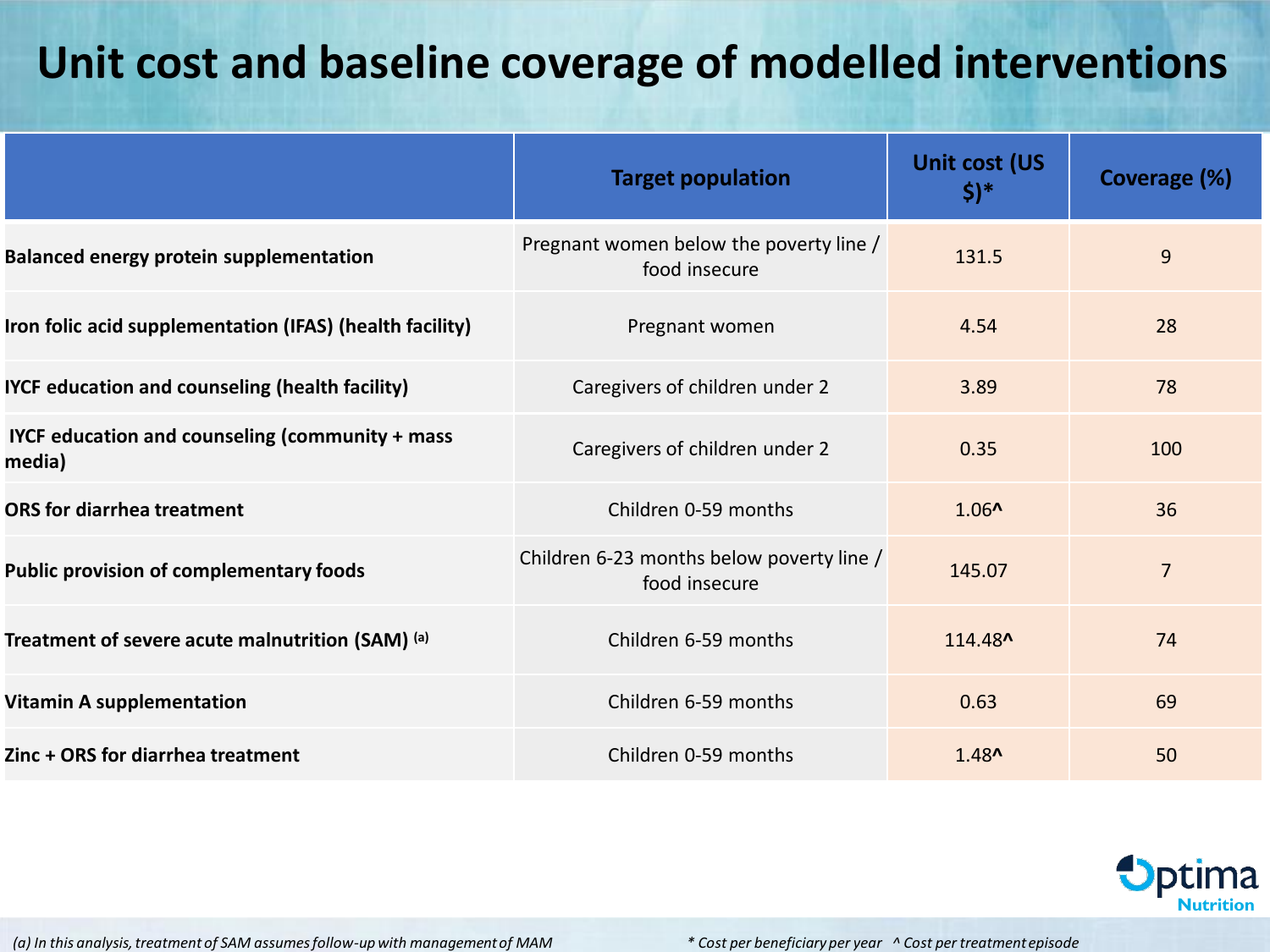#### **Unit cost and baseline coverage of modelled interventions**

|                                                           | <b>Target population</b>                                   | Unit cost (US<br>$\frac{1}{2}$ | Coverage (%)   |
|-----------------------------------------------------------|------------------------------------------------------------|--------------------------------|----------------|
| <b>Balanced energy protein supplementation</b>            | Pregnant women below the poverty line /<br>food insecure   | 131.5                          | 9              |
| Iron folic acid supplementation (IFAS) (health facility)  | Pregnant women                                             | 4.54                           | 28             |
| IYCF education and counseling (health facility)           | Caregivers of children under 2                             | 3.89                           | 78             |
| IYCF education and counseling (community + mass<br>media) | Caregivers of children under 2                             | 0.35                           | 100            |
| <b>ORS</b> for diarrhea treatment                         | Children 0-59 months                                       | $1.06^$                        | 36             |
| <b>Public provision of complementary foods</b>            | Children 6-23 months below poverty line /<br>food insecure | 145.07                         | $\overline{7}$ |
| Treatment of severe acute malnutrition (SAM) (a)          | Children 6-59 months                                       | 114.48^                        | 74             |
| <b>Vitamin A supplementation</b>                          | Children 6-59 months                                       | 0.63                           | 69             |
| Zinc + ORS for diarrhea treatment                         | Children 0-59 months                                       | $1.48^$                        | 50             |



*(a) In this analysis, treatment of SAM assumes follow-up with management of MAM*

*\* Cost per beneficiary per year ^ Cost per treatment episode*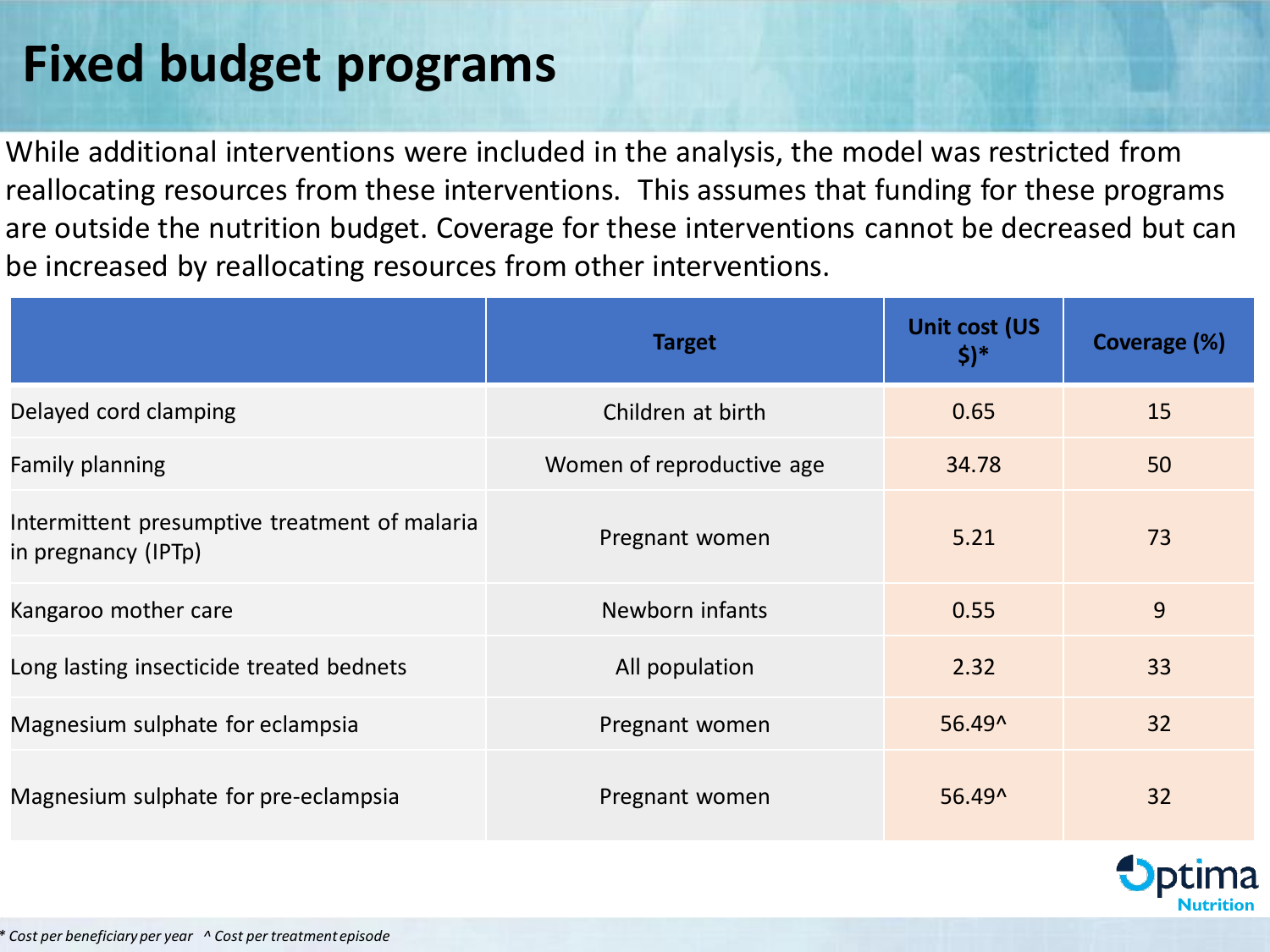### **Fixed budget programs**

While additional interventions were included in the analysis, the model was restricted from reallocating resources from these interventions. This assumes that funding for these programs are outside the nutrition budget. Coverage for these interventions cannot be decreased but can be increased by reallocating resources from other interventions.

|                                                                      | <b>Target</b>             | Unit cost (US<br>\$)* | Coverage (%) |
|----------------------------------------------------------------------|---------------------------|-----------------------|--------------|
| Delayed cord clamping                                                | Children at birth         | 0.65                  | 15           |
| <b>Family planning</b>                                               | Women of reproductive age | 34.78                 | 50           |
| Intermittent presumptive treatment of malaria<br>in pregnancy (IPTp) | Pregnant women            | 5.21                  | 73           |
| Kangaroo mother care                                                 | Newborn infants           | 0.55                  | 9            |
| Long lasting insecticide treated bednets                             | All population            | 2.32                  | 33           |
| Magnesium sulphate for eclampsia                                     | Pregnant women            | 56.49^                | 32           |
| Magnesium sulphate for pre-eclampsia                                 | Pregnant women            | 56.49^                | 32           |

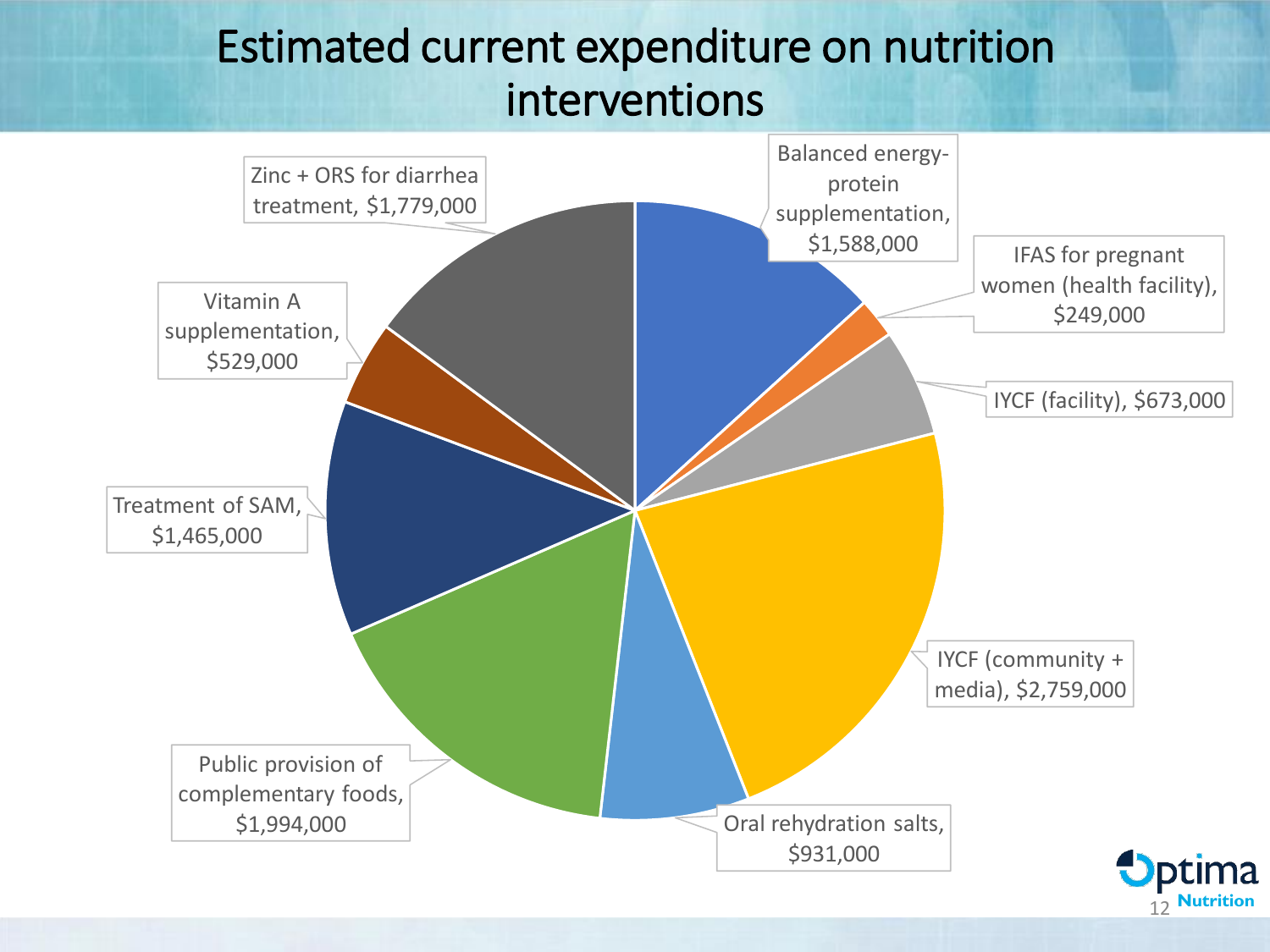#### Estimated current expenditure on nutrition interventions

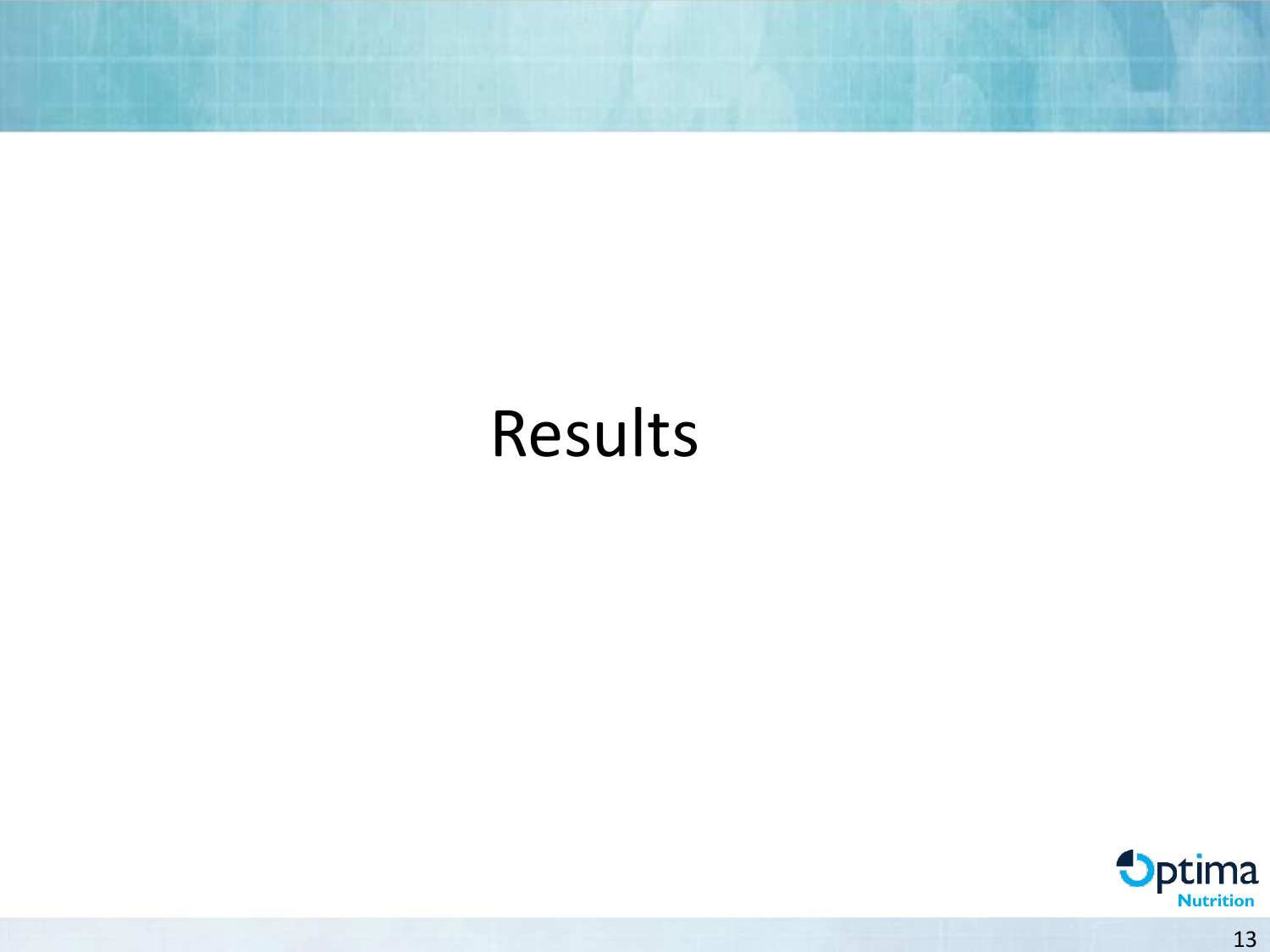## Results

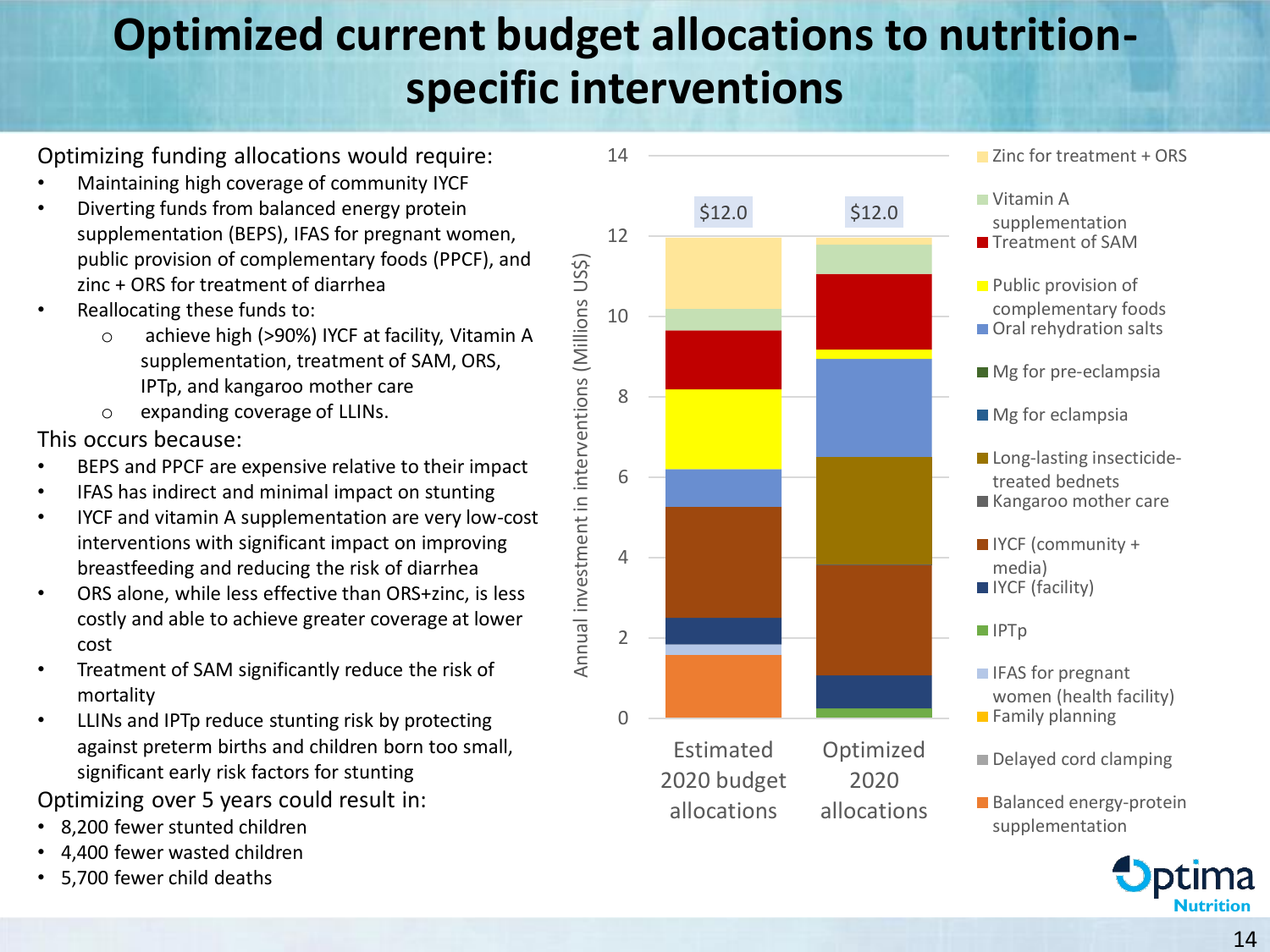#### **Optimized current budget allocations to nutritionspecific interventions**

Optimizing funding allocations would require:

- Maintaining high coverage of community IYCF
- Diverting funds from balanced energy protein supplementation (BEPS), IFAS for pregnant women, public provision of complementary foods (PPCF), and zinc + ORS for treatment of diarrhea
- Reallocating these funds to:
	- o achieve high (>90%) IYCF at facility, Vitamin A supplementation, treatment of SAM, ORS, IPTp, and kangaroo mother care
	- o expanding coverage of LLINs.

This occurs because:

- BEPS and PPCF are expensive relative to their impact
- IFAS has indirect and minimal impact on stunting
- IYCF and vitamin A supplementation are very low-cost interventions with significant impact on improving breastfeeding and reducing the risk of diarrhea
- ORS alone, while less effective than ORS+zinc, is less costly and able to achieve greater coverage at lower cost
- Treatment of SAM significantly reduce the risk of mortality
- LLINs and IPTp reduce stunting risk by protecting against preterm births and children born too small, significant early risk factors for stunting

Optimizing over 5 years could result in:

- 8,200 fewer stunted children
- 4,400 fewer wasted children
- 5,700 fewer child deaths



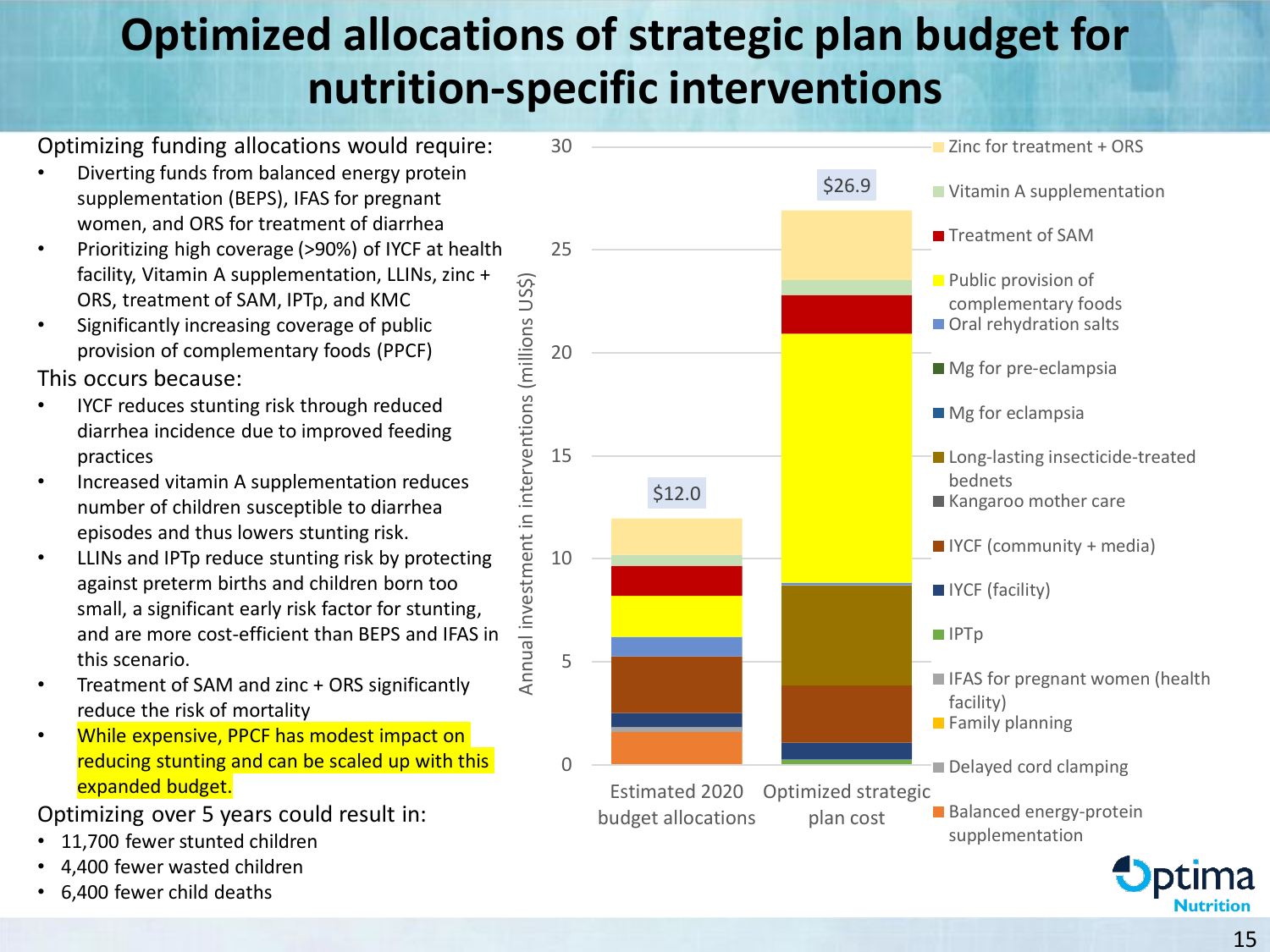#### **Optimized allocations of strategic plan budget for nutrition-specific interventions**

Optimizing funding allocations would require:

- Diverting funds from balanced energy protein supplementation (BEPS), IFAS for pregnant women, and ORS for treatment of diarrhea
- Prioritizing high coverage (>90%) of IYCF at health facility, Vitamin A supplementation, LLINs, zinc + ORS, treatment of SAM, IPTp, and KMC
- Significantly increasing coverage of public provision of complementary foods (PPCF)

This occurs because:

- IYCF reduces stunting risk through reduced diarrhea incidence due to improved feeding practices
- Increased vitamin A supplementation reduces number of children susceptible to diarrhea episodes and thus lowers stunting risk.
- LLINs and IPTp reduce stunting risk by protecting against preterm births and children born too small, a significant early risk factor for stunting, and are more cost-efficient than BEPS and IFAS in this scenario.
- Treatment of SAM and zinc + ORS significantly reduce the risk of mortality
- While expensive, PPCF has modest impact on reducing stunting and can be scaled up with this expanded budget.

Optimizing over 5 years could result in:

- 11,700 fewer stunted children
- 4,400 fewer wasted children
- 6,400 fewer child deaths



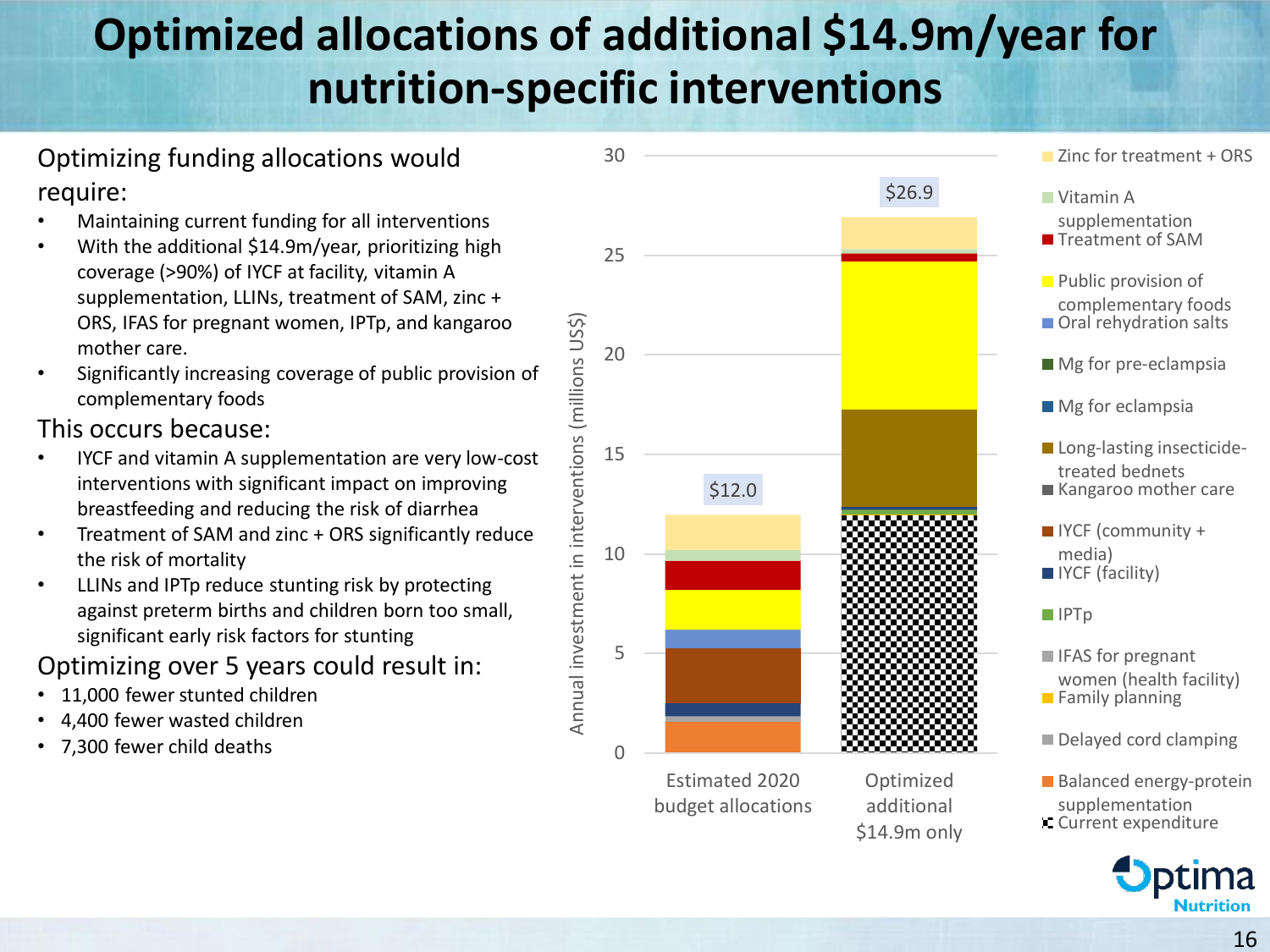### **Optimized allocations of additional \$14.9m/year for nutrition-specific interventions**

#### Optimizing funding allocations would require:

- Maintaining current funding for all interventions
- With the additional \$14.9m/year, prioritizing high coverage (>90%) of IYCF at facility, vitamin A supplementation, LLINs, treatment of SAM, zinc + ORS, IFAS for pregnant women, IPTp, and kangaroo mother care.
- Significantly increasing coverage of public provision of complementary foods

#### This occurs because:

- IYCF and vitamin A supplementation are very low-cost interventions with significant impact on improving breastfeeding and reducing the risk of diarrhea
- Treatment of SAM and zinc + ORS significantly reduce the risk of mortality
- LLINs and IPTp reduce stunting risk by protecting against preterm births and children born too small, significant early risk factors for stunting

#### Optimizing over 5 years could result in:

- 11,000 fewer stunted children
- 4,400 fewer wasted children
- 7,300 fewer child deaths



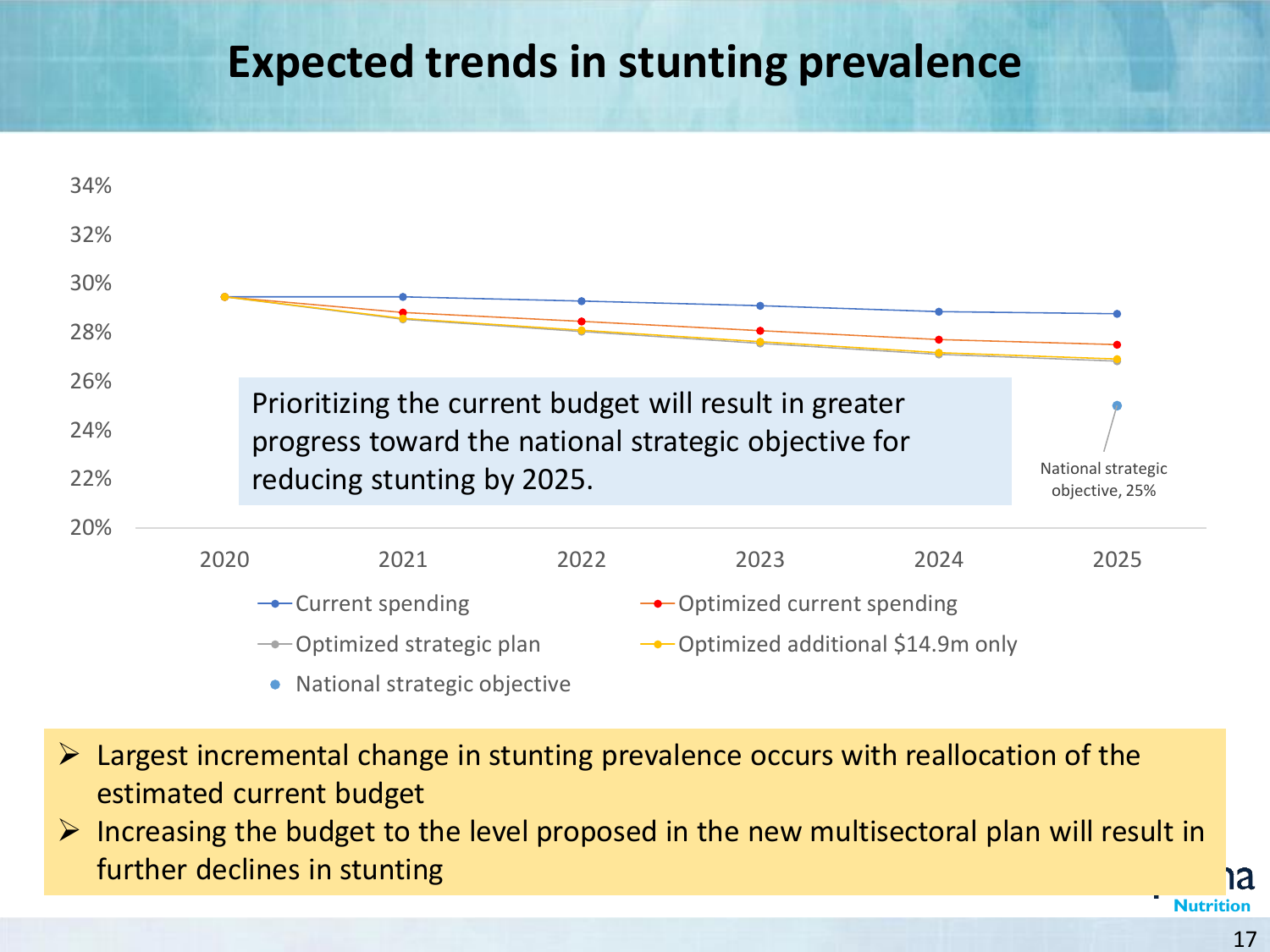#### **Expected trends in stunting prevalence**



- ➢ Largest incremental change in stunting prevalence occurs with reallocation of the estimated current budget
- $\triangleright$  Increasing the budget to the level proposed in the new multisectoral plan will result in further declines in stunting

**1a**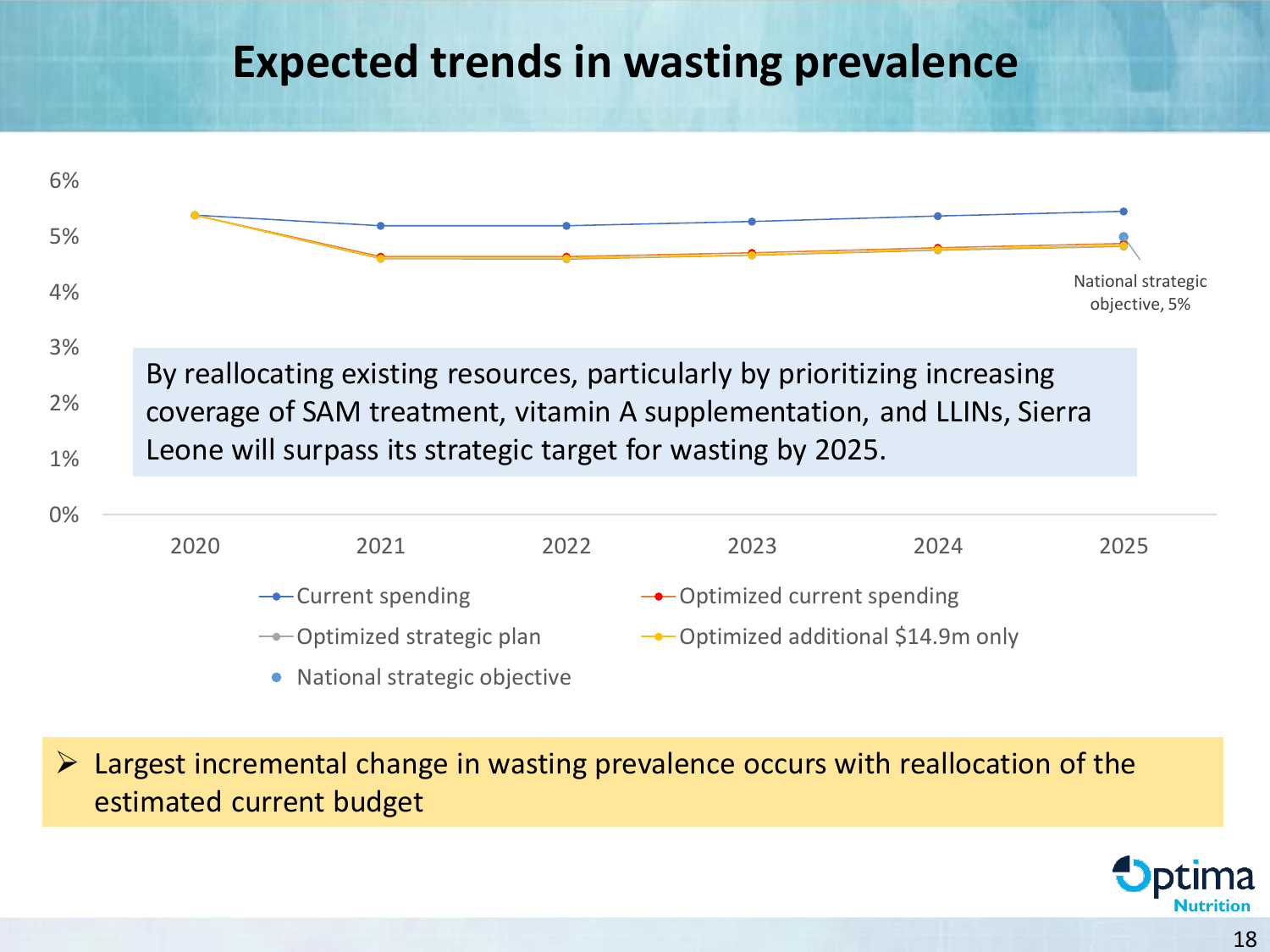#### **Expected trends in wasting prevalence**



 $\triangleright$  Largest incremental change in wasting prevalence occurs with reallocation of the estimated current budget

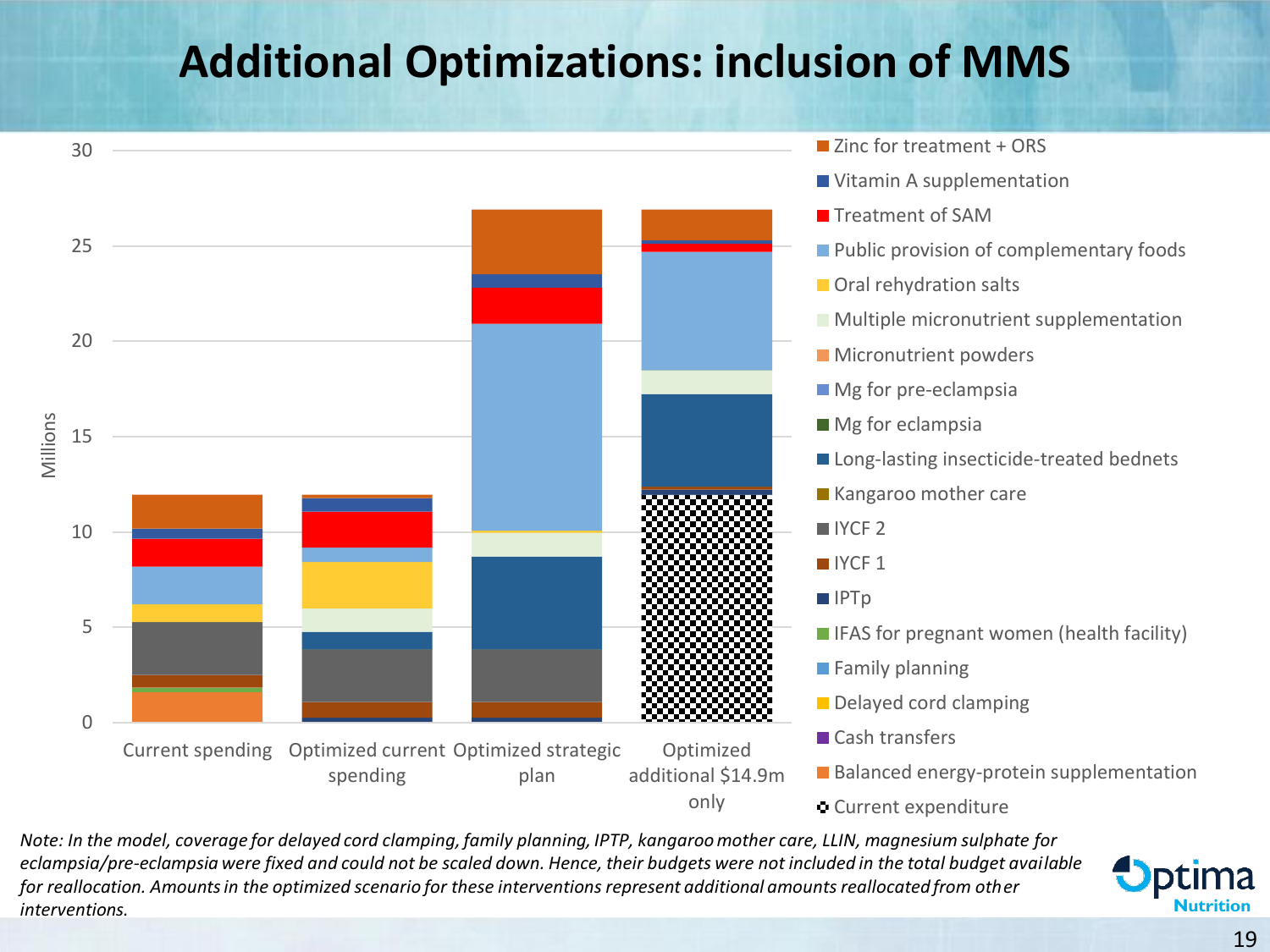#### **Additional Optimizations: inclusion of MMS**



*Note: In the model, coverage for delayed cord clamping, family planning, IPTP, kangaroo mother care, LLIN, magnesium sulphate for eclampsia/pre-eclampsia were fixed and could not be scaled down. Hence, their budgets were not included in the total budget available for reallocation. Amounts in the optimized scenario for these interventions represent additional amounts reallocated from other interventions.*

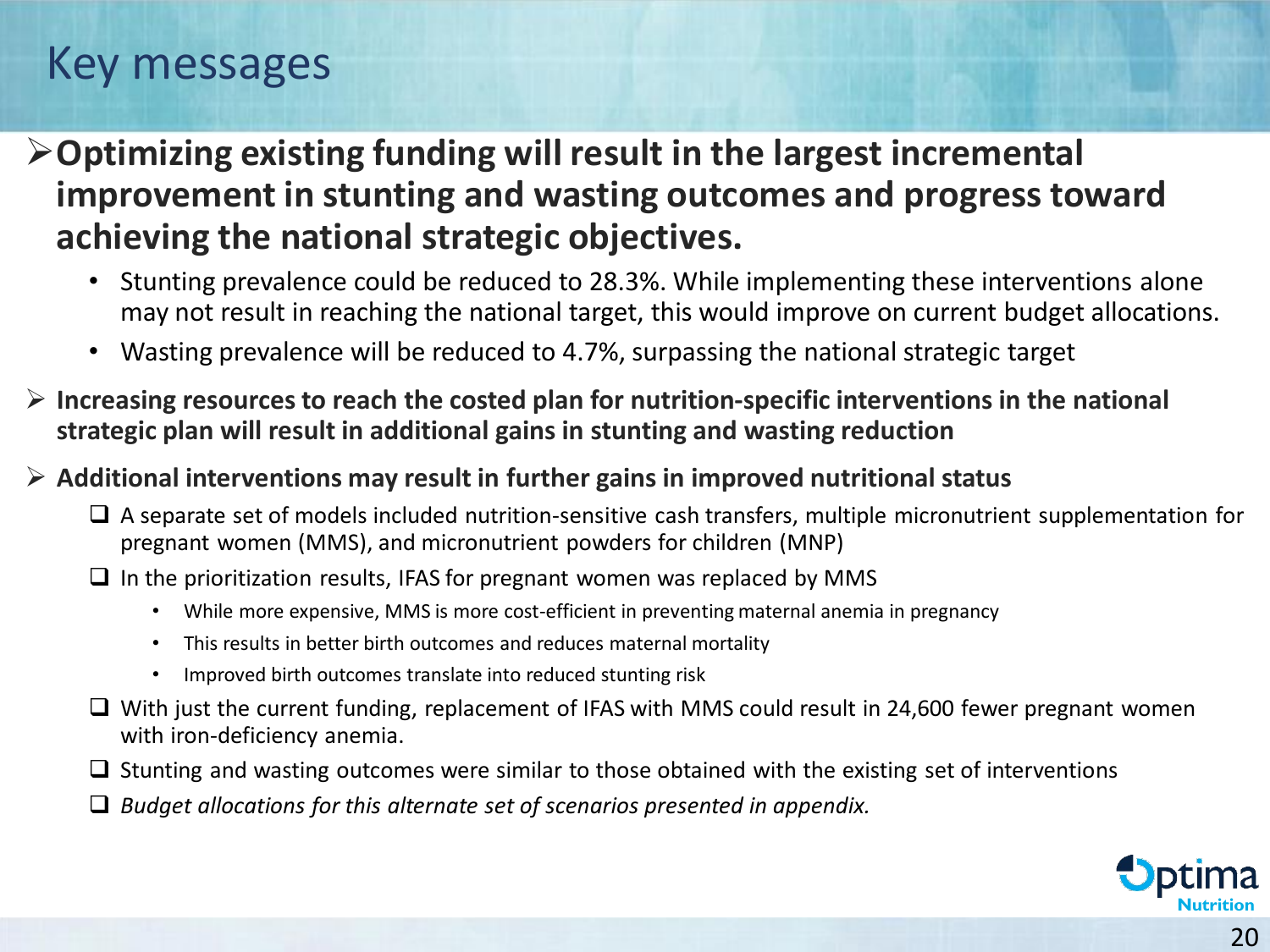#### Key messages

➢**Optimizing existing funding will result in the largest incremental improvement in stunting and wasting outcomes and progress toward achieving the national strategic objectives.**

- Stunting prevalence could be reduced to 28.3%. While implementing these interventions alone may not result in reaching the national target, this would improve on current budget allocations.
- Wasting prevalence will be reduced to 4.7%, surpassing the national strategic target
- ➢ **Increasing resources to reach the costed plan for nutrition-specific interventions in the national strategic plan will result in additional gains in stunting and wasting reduction**

#### ➢ **Additional interventions may result in further gains in improved nutritional status**

- ❑ A separate set of models included nutrition-sensitive cash transfers, multiple micronutrient supplementation for pregnant women (MMS), and micronutrient powders for children (MNP)
- $\Box$  In the prioritization results, IFAS for pregnant women was replaced by MMS
	- While more expensive, MMS is more cost-efficient in preventing maternal anemia in pregnancy
	- This results in better birth outcomes and reduces maternal mortality
	- Improved birth outcomes translate into reduced stunting risk
- ❑ With just the current funding, replacement of IFAS with MMS could result in 24,600 fewer pregnant women with iron-deficiency anemia.
- $\square$  Stunting and wasting outcomes were similar to those obtained with the existing set of interventions
- ❑ *Budget allocations for this alternate set of scenarios presented in appendix.*

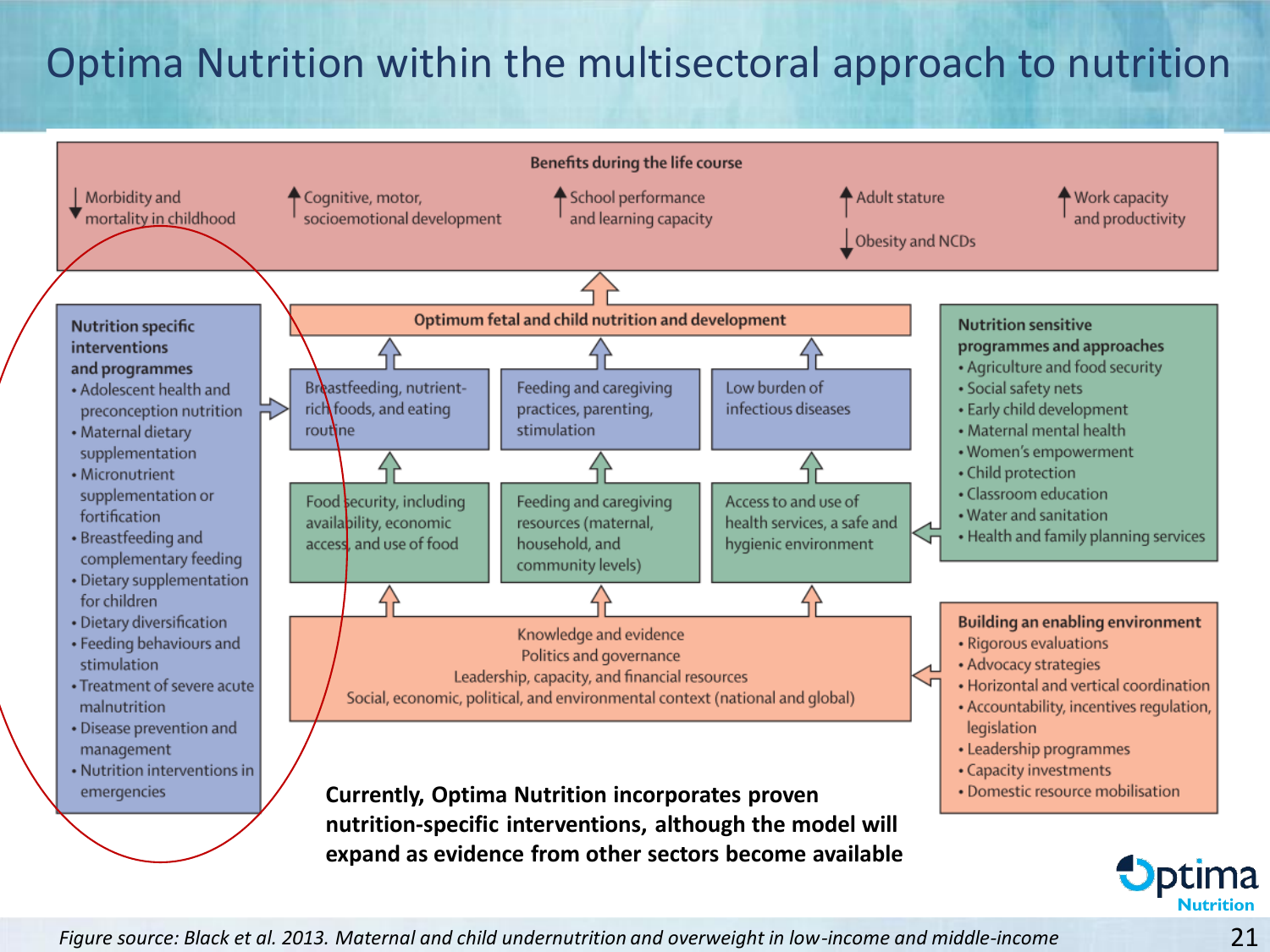#### Optima Nutrition within the multisectoral approach to nutrition

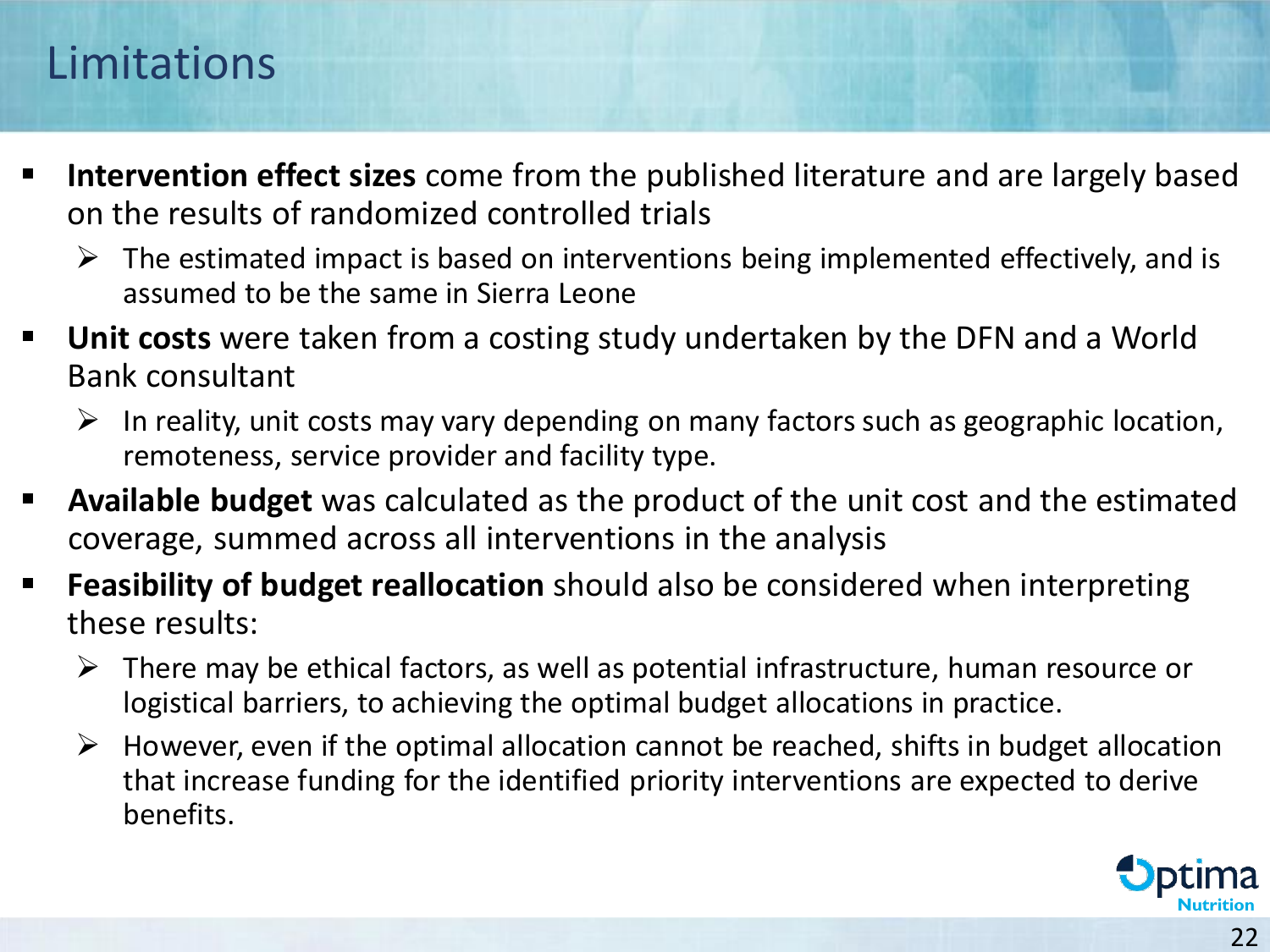#### Limitations

- **<u>EXT</u>** Intervention effect sizes come from the published literature and are largely based on the results of randomized controlled trials
	- $\triangleright$  The estimated impact is based on interventions being implemented effectively, and is assumed to be the same in Sierra Leone
- Unit costs were taken from a costing study undertaken by the DFN and a World Bank consultant
	- $\triangleright$  In reality, unit costs may vary depending on many factors such as geographic location, remoteness, service provider and facility type.
- **EXT** Available budget was calculated as the product of the unit cost and the estimated coverage, summed across all interventions in the analysis
- **Feasibility of budget reallocation** should also be considered when interpreting these results:
	- $\triangleright$  There may be ethical factors, as well as potential infrastructure, human resource or logistical barriers, to achieving the optimal budget allocations in practice.
	- $\triangleright$  However, even if the optimal allocation cannot be reached, shifts in budget allocation that increase funding for the identified priority interventions are expected to derive benefits.

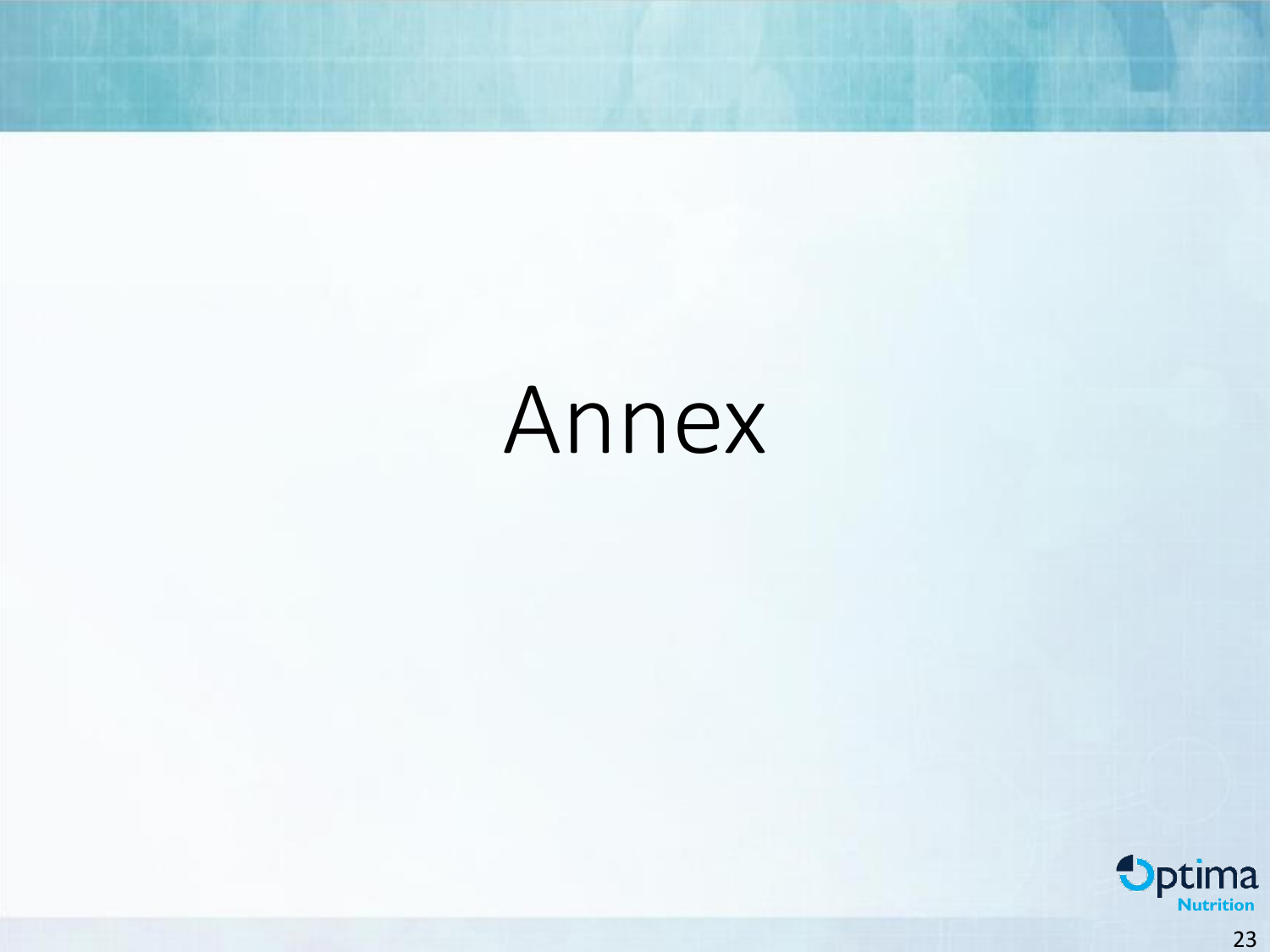# Annex

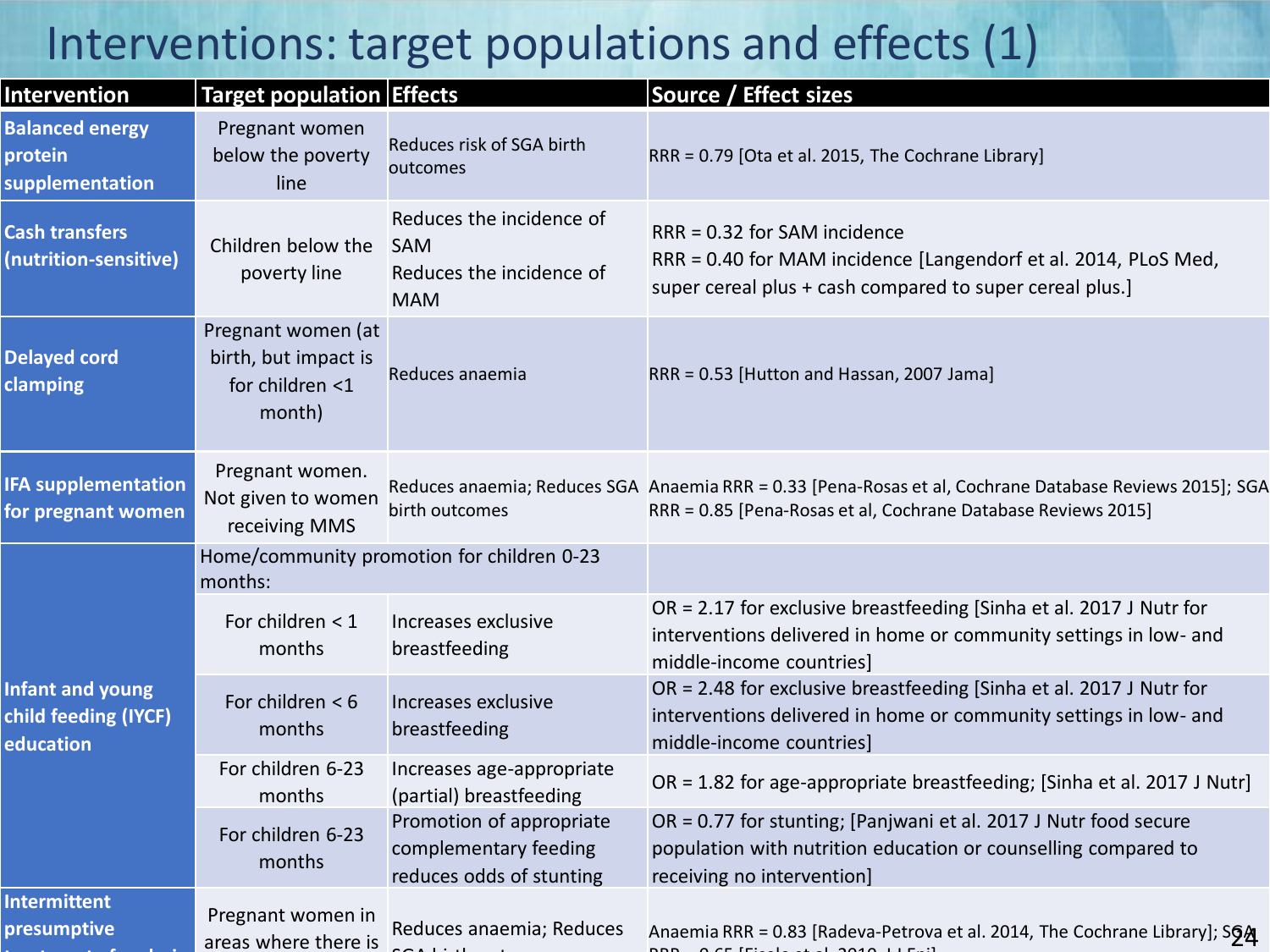#### Interventions: target populations and effects (1)

| <b>Intervention</b>                                          | <b>Target population Effects</b>                                        |                                                                                  | Source / Effect sizes                                                                                                                                                    |
|--------------------------------------------------------------|-------------------------------------------------------------------------|----------------------------------------------------------------------------------|--------------------------------------------------------------------------------------------------------------------------------------------------------------------------|
| <b>Balanced energy</b><br>protein<br>supplementation         | Pregnant women<br>below the poverty<br>line                             | Reduces risk of SGA birth<br>outcomes                                            | RRR = 0.79 [Ota et al. 2015, The Cochrane Library]                                                                                                                       |
| <b>Cash transfers</b><br>(nutrition-sensitive)               | Children below the<br>poverty line                                      | Reduces the incidence of<br><b>SAM</b><br>Reduces the incidence of<br><b>MAM</b> | RRR = 0.32 for SAM incidence<br>RRR = 0.40 for MAM incidence [Langendorf et al. 2014, PLoS Med,<br>super cereal plus + cash compared to super cereal plus.]              |
| <b>Delayed cord</b><br>clamping                              | Pregnant women (at<br>birth, but impact is<br>for children <1<br>month) | Reduces anaemia                                                                  | RRR = 0.53 [Hutton and Hassan, 2007 Jama]                                                                                                                                |
| <b>IFA supplementation</b><br>for pregnant women             | Pregnant women.<br>Not given to women<br>receiving MMS                  | birth outcomes                                                                   | Reduces anaemia; Reduces SGA Anaemia RRR = 0.33 [Pena-Rosas et al, Cochrane Database Reviews 2015]; SGA<br>RRR = 0.85 [Pena-Rosas et al, Cochrane Database Reviews 2015] |
| Home/community promotion for children 0-23<br>months:        |                                                                         |                                                                                  |                                                                                                                                                                          |
| <b>Infant and young</b><br>child feeding (IYCF)<br>education | For children $<$ 1<br>months                                            | Increases exclusive<br>breastfeeding                                             | OR = 2.17 for exclusive breastfeeding [Sinha et al. 2017 J Nutr for<br>interventions delivered in home or community settings in low- and<br>middle-income countries]     |
|                                                              | For children $<$ 6<br>months                                            | Increases exclusive<br>breastfeeding                                             | OR = 2.48 for exclusive breastfeeding [Sinha et al. 2017 J Nutr for<br>interventions delivered in home or community settings in low- and<br>middle-income countries]     |
|                                                              | For children 6-23<br>months                                             | Increases age-appropriate<br>(partial) breastfeeding                             | OR = 1.82 for age-appropriate breastfeeding; [Sinha et al. 2017 J Nutr]                                                                                                  |
|                                                              | For children 6-23<br>months                                             | Promotion of appropriate<br>complementary feeding<br>reduces odds of stunting    | OR = 0.77 for stunting; [Panjwani et al. 2017 J Nutr food secure<br>population with nutrition education or counselling compared to<br>receiving no intervention]         |
| <b>Intermittent</b><br>presumptive                           | Pregnant women in<br>areas where there is                               | Reduces anaemia; Reduces                                                         | Anaemia RRR = 0.83 [Radeva-Petrova et al. 2014, The Cochrane Library]; S6A                                                                                               |